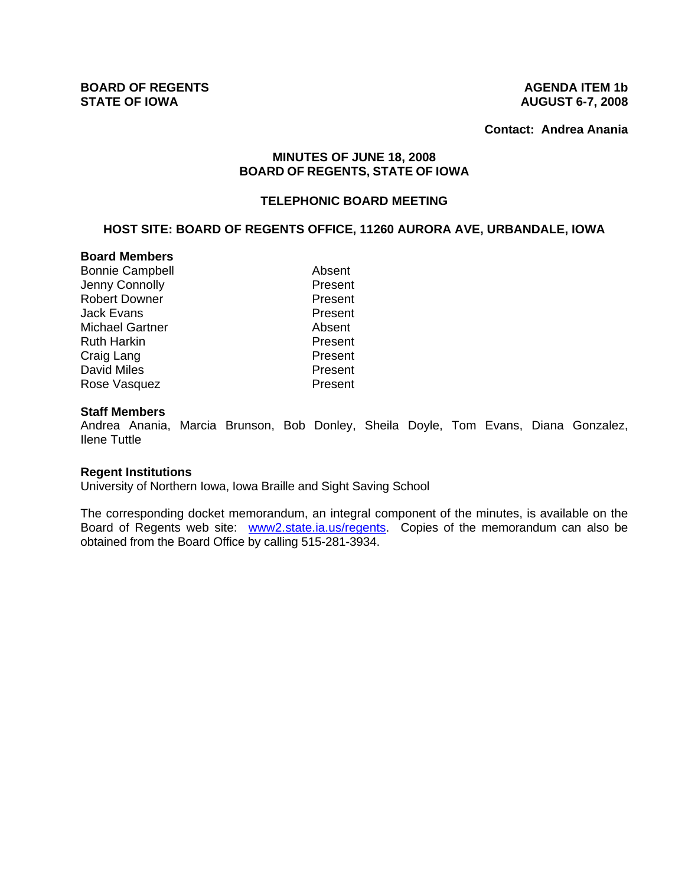**Contact: Andrea Anania**

# **MINUTES OF JUNE 18, 2008 BOARD OF REGENTS, STATE OF IOWA**

# **TELEPHONIC BOARD MEETING**

# **HOST SITE: BOARD OF REGENTS OFFICE, 11260 AURORA AVE, URBANDALE, IOWA**

### **Board Members**

| <b>Bonnie Campbell</b> | Absent  |
|------------------------|---------|
| Jenny Connolly         | Present |
| <b>Robert Downer</b>   | Present |
| Jack Evans             | Present |
| <b>Michael Gartner</b> | Absent  |
| <b>Ruth Harkin</b>     | Present |
| Craig Lang             | Present |
| <b>David Miles</b>     | Present |
| Rose Vasquez           | Present |

#### **Staff Members**

Andrea Anania, Marcia Brunson, Bob Donley, Sheila Doyle, Tom Evans, Diana Gonzalez, Ilene Tuttle

#### **Regent Institutions**

University of Northern Iowa, Iowa Braille and Sight Saving School

The corresponding docket memorandum, an integral component of the minutes, is available on the Board of Regents web site: www2.state.ia.us/regents. Copies of the memorandum can also be obtained from the Board Office by calling 515-281-3934.